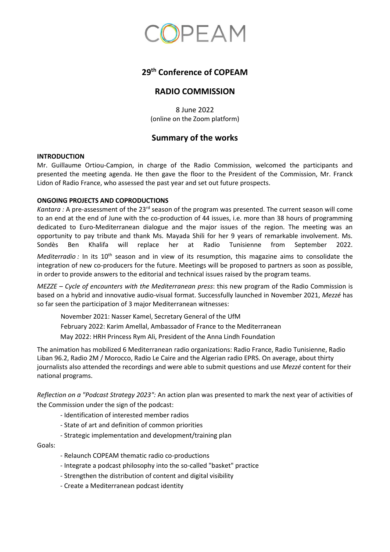

# **29 th Conference of COPEAM**

## **RADIO COMMISSION**

8 June 2022 (online on the Zoom platform)

## **Summary of the works**

#### **INTRODUCTION**

Mr. Guillaume Ortiou-Campion, in charge of the Radio Commission, welcomed the participants and presented the meeting agenda. He then gave the floor to the President of the Commission, Mr. Franck Lidon of Radio France, who assessed the past year and set out future prospects.

#### **ONGOING PROJECTS AND COPRODUCTIONS**

*Kantara :* A pre-assessment of the 23rd season of the program was presented. The current season will come to an end at the end of June with the co-production of 44 issues, i.e. more than 38 hours of programming dedicated to Euro-Mediterranean dialogue and the major issues of the region. The meeting was an opportunity to pay tribute and thank Ms. Mayada Shili for her 9 years of remarkable involvement. Ms. Sondès Ben Khalifa will replace her at Radio Tunisienne from September 2022.

*Mediterradio :* In its 10<sup>th</sup> season and in view of its resumption, this magazine aims to consolidate the integration of new co-producers for the future. Meetings will be proposed to partners as soon as possible, in order to provide answers to the editorial and technical issues raised by the program teams.

*MEZZE – Cycle of encounters with the Mediterranean press*: this new program of the Radio Commission is based on a hybrid and innovative audio-visual format. Successfully launched in November 2021, *Mezzé* has so far seen the participation of 3 major Mediterranean witnesses:

November 2021: Nasser Kamel, Secretary General of the UfM February 2022: Karim Amellal, Ambassador of France to the Mediterranean May 2022: HRH Princess Rym Ali, President of the Anna Lindh Foundation

The animation has mobilized 6 Mediterranean radio organizations: Radio France, Radio Tunisienne, Radio Liban 96.2, Radio 2M / Morocco, Radio Le Caire and the Algerian radio EPRS. On average, about thirty journalists also attended the recordings and were able to submit questions and use *Mezzé* content for their national programs.

*Reflection on a "Podcast Strategy 2023":* An action plan was presented to mark the next year of activities of the Commission under the sign of the podcast:

- Identification of interested member radios
- State of art and definition of common priorities
- Strategic implementation and development/training plan

Goals:

- Relaunch COPEAM thematic radio co-productions
- Integrate a podcast philosophy into the so-called "basket" practice
- Strengthen the distribution of content and digital visibility
- Create a Mediterranean podcast identity